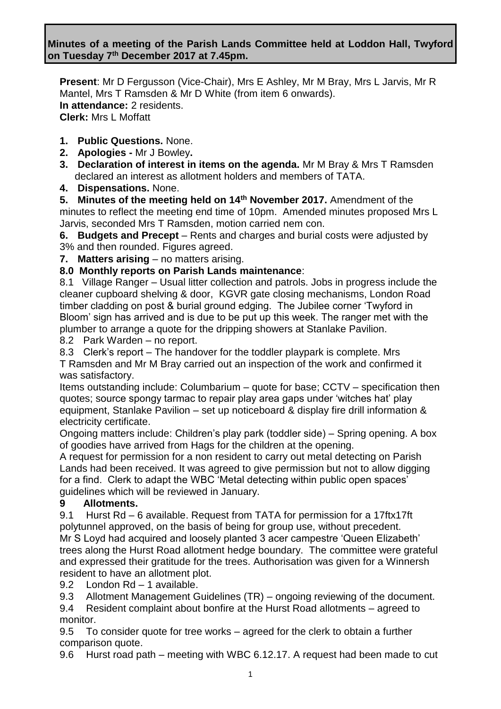**Minutes of a meeting of the Parish Lands Committee held at Loddon Hall, Twyford on Tuesday 7 th December 2017 at 7.45pm.**

**Present**: Mr D Fergusson (Vice-Chair), Mrs E Ashley, Mr M Bray, Mrs L Jarvis, Mr R Mantel, Mrs T Ramsden & Mr D White (from item 6 onwards). **In attendance:** 2 residents. **Clerk:** Mrs L Moffatt

- **1. Public Questions.** None.
- **2. Apologies -** Mr J Bowley**.**
- **3. Declaration of interest in items on the agenda.** Mr M Bray & Mrs T Ramsden declared an interest as allotment holders and members of TATA.
- **4. Dispensations.** None.

**5. Minutes of the meeting held on 14th November 2017.** Amendment of the minutes to reflect the meeting end time of 10pm. Amended minutes proposed Mrs L Jarvis, seconded Mrs T Ramsden, motion carried nem con.

**6. Budgets and Precept** – Rents and charges and burial costs were adjusted by 3% and then rounded. Figures agreed.

**7. Matters arising** – no matters arising.

#### **8.0 Monthly reports on Parish Lands maintenance**:

8.1 Village Ranger – Usual litter collection and patrols. Jobs in progress include the cleaner cupboard shelving & door, KGVR gate closing mechanisms, London Road timber cladding on post & burial ground edging. The Jubilee corner 'Twyford in Bloom' sign has arrived and is due to be put up this week. The ranger met with the plumber to arrange a quote for the dripping showers at Stanlake Pavilion.

8.2 Park Warden – no report.

8.3 Clerk's report – The handover for the toddler playpark is complete. Mrs

T Ramsden and Mr M Bray carried out an inspection of the work and confirmed it was satisfactory.

Items outstanding include: Columbarium – quote for base; CCTV – specification then quotes; source spongy tarmac to repair play area gaps under 'witches hat' play equipment, Stanlake Pavilion – set up noticeboard & display fire drill information & electricity certificate.

Ongoing matters include: Children's play park (toddler side) – Spring opening. A box of goodies have arrived from Hags for the children at the opening.

A request for permission for a non resident to carry out metal detecting on Parish Lands had been received. It was agreed to give permission but not to allow digging for a find. Clerk to adapt the WBC 'Metal detecting within public open spaces' guidelines which will be reviewed in January.

#### **9 Allotments.**

9.1 Hurst Rd – 6 available. Request from TATA for permission for a 17ftx17ft polytunnel approved, on the basis of being for group use, without precedent. Mr S Loyd had acquired and loosely planted 3 acer campestre 'Queen Elizabeth' trees along the Hurst Road allotment hedge boundary. The committee were grateful and expressed their gratitude for the trees. Authorisation was given for a Winnersh resident to have an allotment plot.

9.2 London Rd – 1 available.

9.3 Allotment Management Guidelines (TR) – ongoing reviewing of the document.

9.4 Resident complaint about bonfire at the Hurst Road allotments – agreed to monitor.

9.5To consider quote for tree works – agreed for the clerk to obtain a further comparison quote.

9.6 Hurst road path – meeting with WBC 6.12.17. A request had been made to cut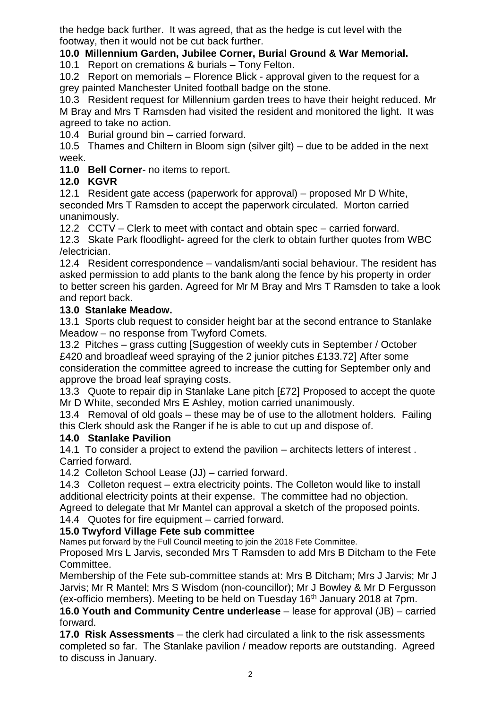the hedge back further. It was agreed, that as the hedge is cut level with the footway, then it would not be cut back further.

## **10.0 Millennium Garden, Jubilee Corner, Burial Ground & War Memorial.**

10.1 Report on cremations & burials – Tony Felton.

10.2 Report on memorials – Florence Blick - approval given to the request for a grey painted Manchester United football badge on the stone.

10.3 Resident request for Millennium garden trees to have their height reduced. Mr M Bray and Mrs T Ramsden had visited the resident and monitored the light. It was agreed to take no action.

10.4 Burial ground bin – carried forward.

10.5 Thames and Chiltern in Bloom sign (silver gilt) – due to be added in the next week.

**11.0 Bell Corner**- no items to report.

# **12.0 KGVR**

12.1 Resident gate access (paperwork for approval) – proposed Mr D White, seconded Mrs T Ramsden to accept the paperwork circulated. Morton carried unanimously.

12.2 CCTV – Clerk to meet with contact and obtain spec – carried forward. 12.3 Skate Park floodlight- agreed for the clerk to obtain further quotes from WBC /electrician.

12.4 Resident correspondence – vandalism/anti social behaviour. The resident has asked permission to add plants to the bank along the fence by his property in order to better screen his garden. Agreed for Mr M Bray and Mrs T Ramsden to take a look and report back.

## **13.0 Stanlake Meadow.**

13.1 Sports club request to consider height bar at the second entrance to Stanlake Meadow – no response from Twyford Comets.

13.2 Pitches – grass cutting [Suggestion of weekly cuts in September / October £420 and broadleaf weed spraying of the 2 junior pitches £133.72] After some consideration the committee agreed to increase the cutting for September only and approve the broad leaf spraying costs.

13.3 Quote to repair dip in Stanlake Lane pitch [£72] Proposed to accept the quote Mr D White, seconded Mrs E Ashley, motion carried unanimously.

13.4 Removal of old goals – these may be of use to the allotment holders. Failing this Clerk should ask the Ranger if he is able to cut up and dispose of.

### **14.0 Stanlake Pavilion**

14.1 To consider a project to extend the pavilion – architects letters of interest . Carried forward.

14.2 Colleton School Lease (JJ) – carried forward.

14.3 Colleton request – extra electricity points. The Colleton would like to install additional electricity points at their expense. The committee had no objection.

Agreed to delegate that Mr Mantel can approval a sketch of the proposed points. 14.4 Quotes for fire equipment – carried forward.

### **15.0 Twyford Village Fete sub committee**

Names put forward by the Full Council meeting to join the 2018 Fete Committee.

Proposed Mrs L Jarvis, seconded Mrs T Ramsden to add Mrs B Ditcham to the Fete Committee.

Membership of the Fete sub-committee stands at: Mrs B Ditcham; Mrs J Jarvis; Mr J Jarvis; Mr R Mantel; Mrs S Wisdom (non-councillor); Mr J Bowley & Mr D Fergusson (ex-officio members). Meeting to be held on Tuesday  $16<sup>th</sup>$  January 2018 at 7pm.

**16.0 Youth and Community Centre underlease** – lease for approval (JB) – carried forward.

**17.0 Risk Assessments** – the clerk had circulated a link to the risk assessments completed so far. The Stanlake pavilion / meadow reports are outstanding. Agreed to discuss in January.